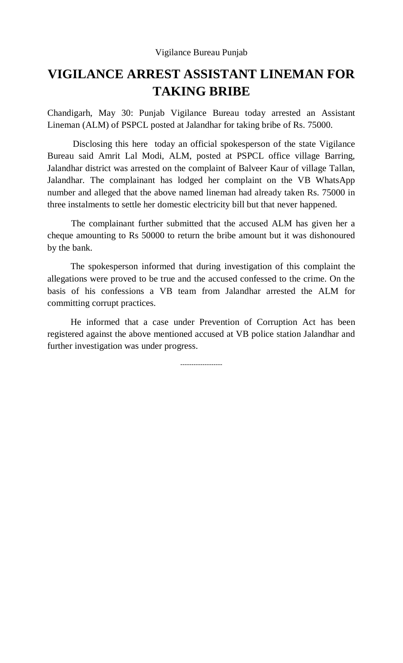## **VIGILANCE ARREST ASSISTANT LINEMAN FOR TAKING BRIBE**

Chandigarh, May 30: Punjab Vigilance Bureau today arrested an Assistant Lineman (ALM) of PSPCL posted at Jalandhar for taking bribe of Rs. 75000.

 Disclosing this here today an official spokesperson of the state Vigilance Bureau said Amrit Lal Modi, ALM, posted at PSPCL office village Barring, Jalandhar district was arrested on the complaint of Balveer Kaur of village Tallan, Jalandhar. The complainant has lodged her complaint on the VB WhatsApp number and alleged that the above named lineman had already taken Rs. 75000 in three instalments to settle her domestic electricity bill but that never happened.

The complainant further submitted that the accused ALM has given her a cheque amounting to Rs 50000 to return the bribe amount but it was dishonoured by the bank.

 The spokesperson informed that during investigation of this complaint the allegations were proved to be true and the accused confessed to the crime. On the basis of his confessions a VB team from Jalandhar arrested the ALM for committing corrupt practices.

 He informed that a case under Prevention of Corruption Act has been registered against the above mentioned accused at VB police station Jalandhar and further investigation was under progress.

-------------------